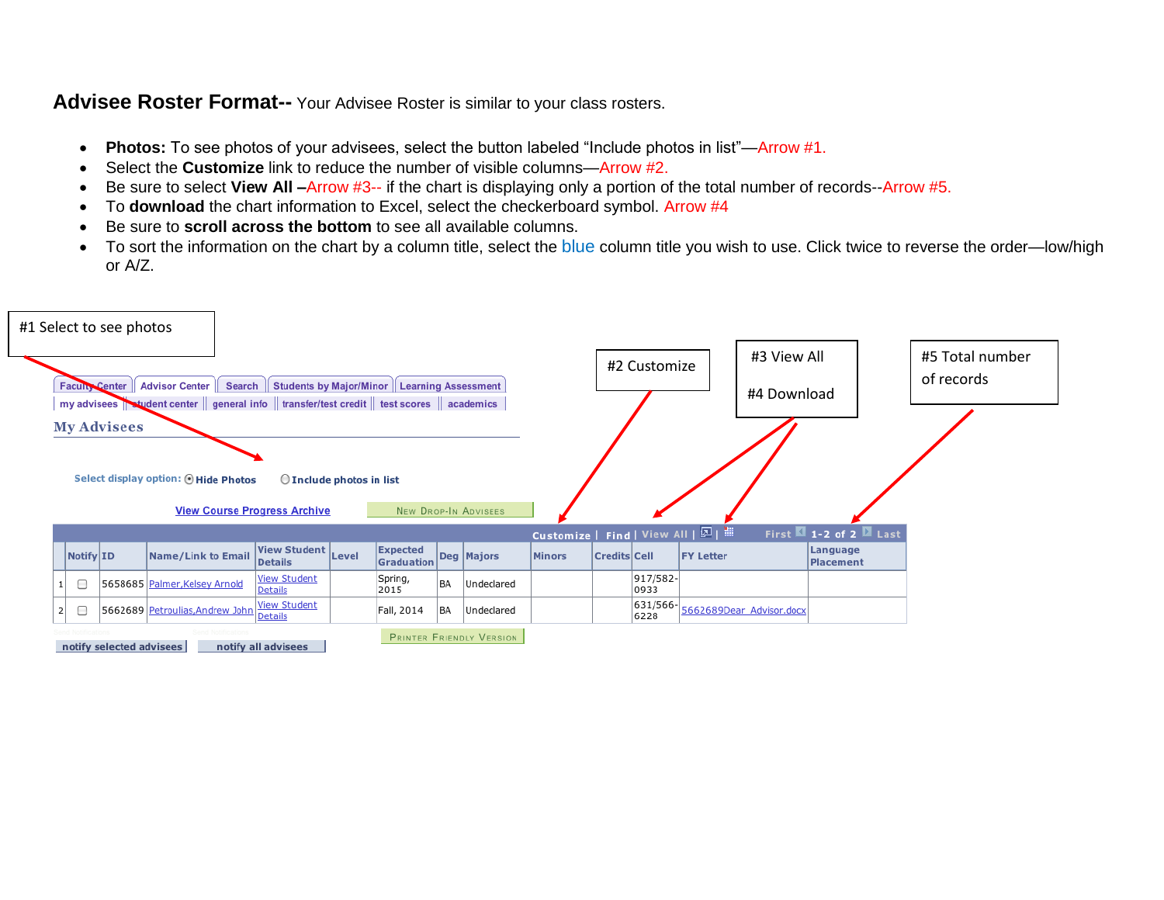**Advisee Roster Format--** Your Advisee Roster is similar to your class rosters.

- **Photos:** To see photos of your advisees, select the button labeled "Include photos in list"—Arrow #1.
- Select the **Customize** link to reduce the number of visible columns—Arrow #2.
- Be sure to select **View All –**Arrow #3-- if the chart is displaying only a portion of the total number of records--Arrow #5.
- To **download** the chart information to Excel, select the checkerboard symbol. Arrow #4
- Be sure to **scroll across the bottom** to see all available columns.
- To sort the information on the chart by a column title, select the blue column title you wish to use. Click twice to reverse the order—low/high or A/Z.

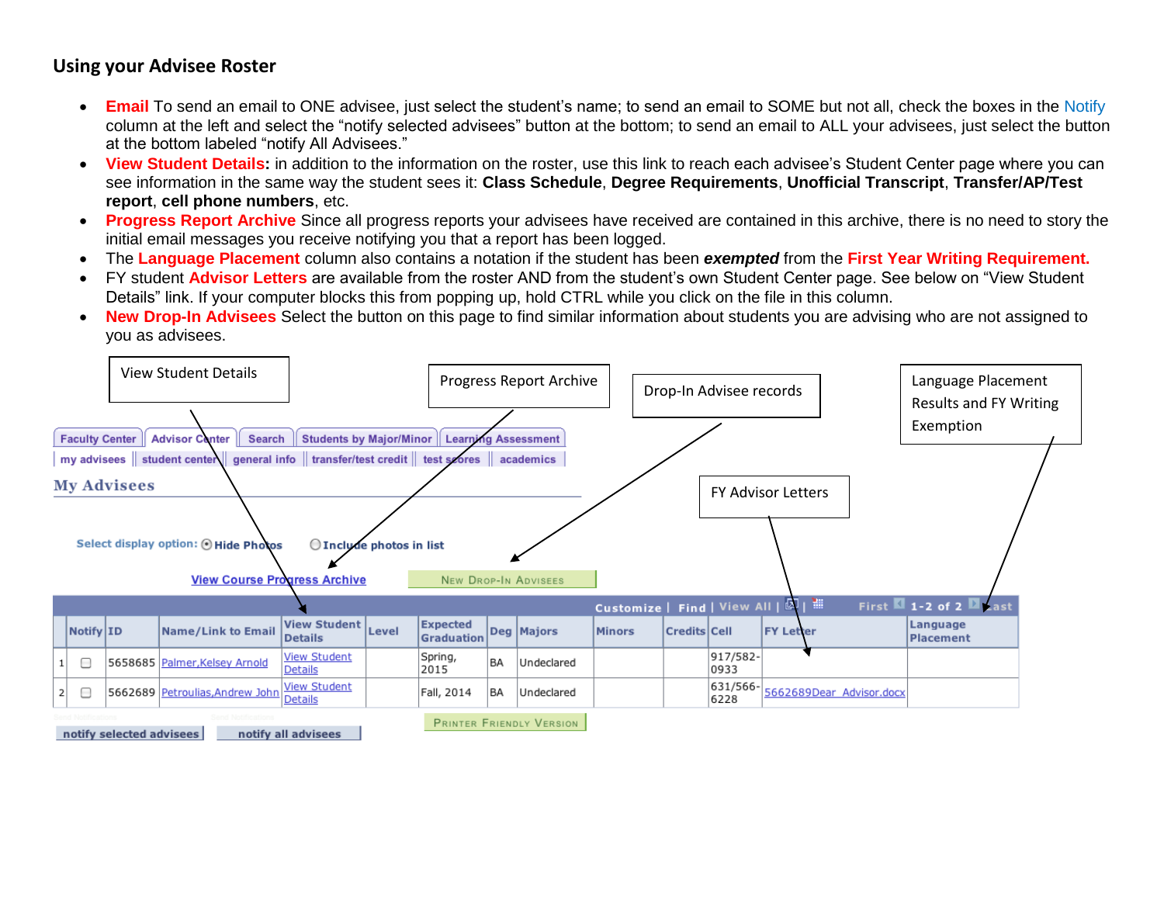## **Using your Advisee Roster**

- **Email** To send an email to ONE advisee, just select the student's name; to send an email to SOME but not all, check the boxes in the Notify column at the left and select the "notify selected advisees" button at the bottom; to send an email to ALL your advisees, just select the button at the bottom labeled "notify All Advisees."
- **View Student Details:** in addition to the information on the roster, use this link to reach each advisee's Student Center page where you can see information in the same way the student sees it: **Class Schedule**, **Degree Requirements**, **Unofficial Transcript**, **Transfer/AP/Test report**, **cell phone numbers**, etc.
- **Progress Report Archive** Since all progress reports your advisees have received are contained in this archive, there is no need to story the initial email messages you receive notifying you that a report has been logged.
- The **Language Placement** column also contains a notation if the student has been *exempted* from the **First Year Writing Requirement.**
- FY student **Advisor Letters** are available from the roster AND from the student's own Student Center page. See below on "View Student Details" link. If your computer blocks this from popping up, hold CTRL while you click on the file in this column.
- **New Drop-In Advisees** Select the button on this page to find similar information about students you are advising who are not assigned to you as advisees.